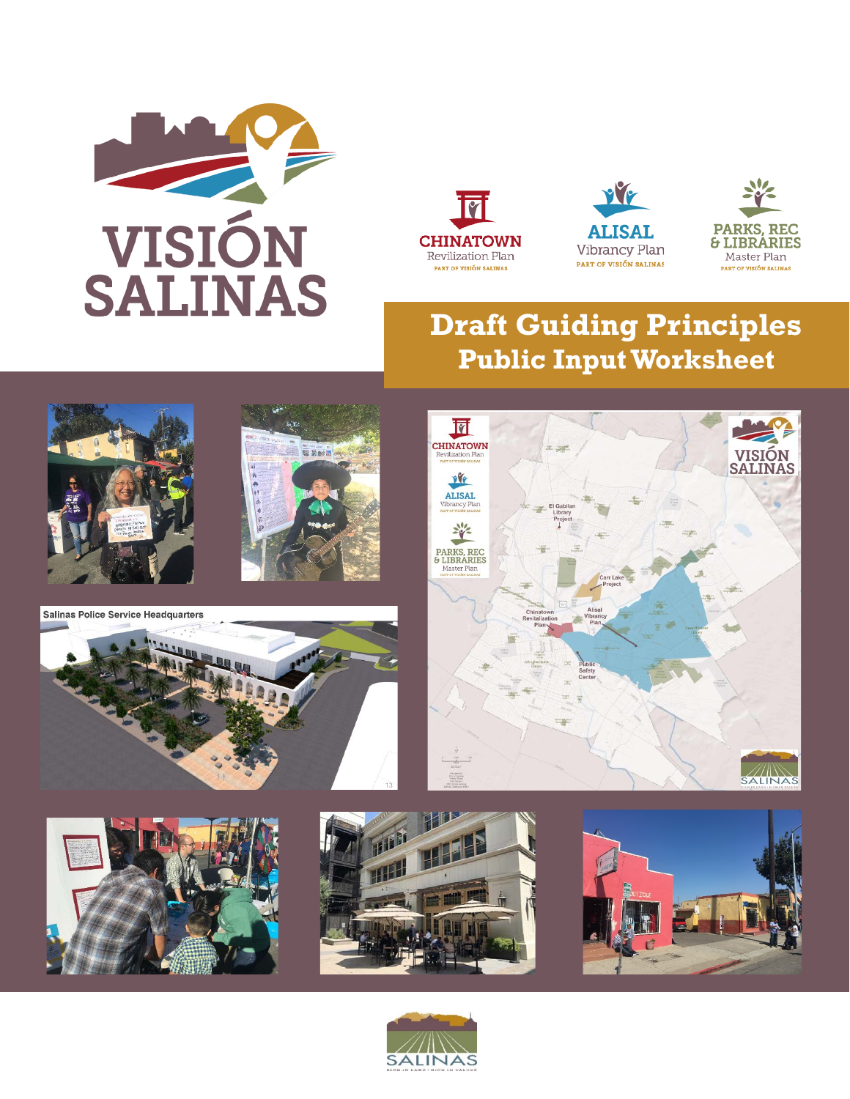







## **Draft Guiding Principles Public Input Worksheet**





**Salinas Police Service Headquarters** 











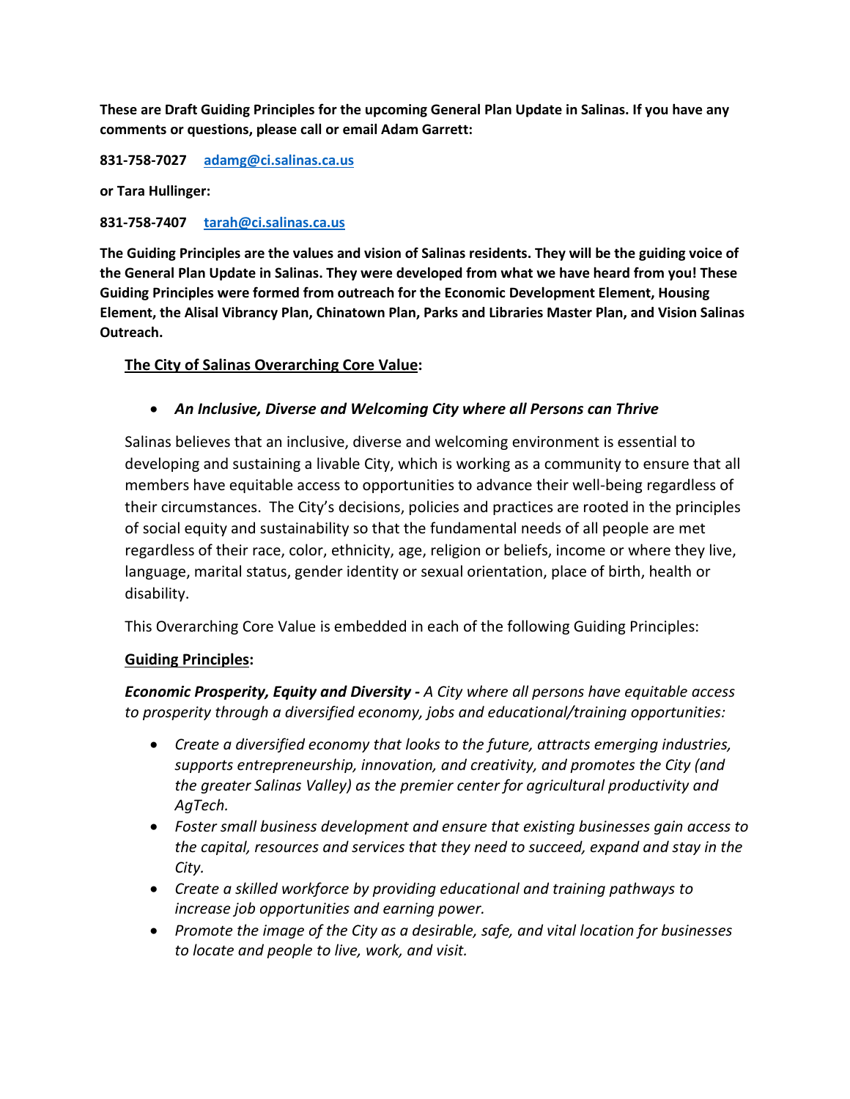**These are Draft Guiding Principles for the upcoming General Plan Update in Salinas. If you have any comments or questions, please call or email Adam Garrett:**

**831-758-7027 [adamg@ci.salinas.ca.us](mailto:adamg@ci.salinas.ca.us)**

**or Tara Hullinger:**

**831-758-7407 [tarah@ci.salinas.ca.us](mailto:tarah@ci.salinas.ca.us)**

**The Guiding Principles are the values and vision of Salinas residents. They will be the guiding voice of the General Plan Update in Salinas. They were developed from what we have heard from you! These Guiding Principles were formed from outreach for the Economic Development Element, Housing Element, the Alisal Vibrancy Plan, Chinatown Plan, Parks and Libraries Master Plan, and Vision Salinas Outreach.**

## **The City of Salinas Overarching Core Value:**

## • *An Inclusive, Diverse and Welcoming City where all Persons can Thrive*

Salinas believes that an inclusive, diverse and welcoming environment is essential to developing and sustaining a livable City, which is working as a community to ensure that all members have equitable access to opportunities to advance their well-being regardless of their circumstances. The City's decisions, policies and practices are rooted in the principles of social equity and sustainability so that the fundamental needs of all people are met regardless of their race, color, ethnicity, age, religion or beliefs, income or where they live, language, marital status, gender identity or sexual orientation, place of birth, health or disability.

This Overarching Core Value is embedded in each of the following Guiding Principles:

## **Guiding Principles:**

*Economic Prosperity, Equity and Diversity - A City where all persons have equitable access to prosperity through a diversified economy, jobs and educational/training opportunities:* 

- *Create a diversified economy that looks to the future, attracts emerging industries, supports entrepreneurship, innovation, and creativity, and promotes the City (and the greater Salinas Valley) as the premier center for agricultural productivity and AgTech.*
- *Foster small business development and ensure that existing businesses gain access to the capital, resources and services that they need to succeed, expand and stay in the City.*
- *Create a skilled workforce by providing educational and training pathways to increase job opportunities and earning power.*
- *Promote the image of the City as a desirable, safe, and vital location for businesses to locate and people to live, work, and visit.*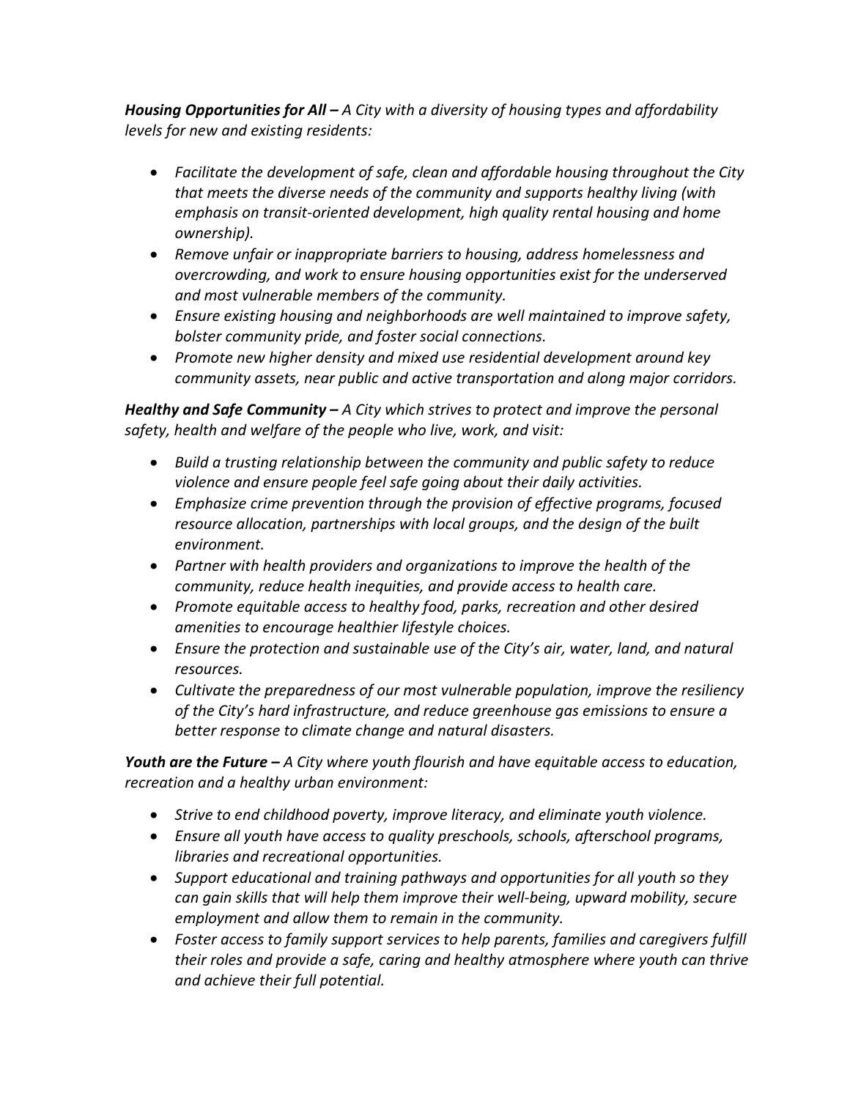*Housing Opportunities for All – A City with a diversity of housing types and affordability levels for new and existing residents:*

- *Facilitate the development of safe, clean and affordable housing throughout the City that meets the diverse needs of the community and supports healthy living (with emphasis on transit-oriented development, high quality rental housing and home ownership).*
- *Remove unfair or inappropriate barriers to housing, address homelessness and overcrowding, and work to ensure housing opportunities exist for the underserved and most vulnerable members of the community.*
- *Ensure existing housing and neighborhoods are well maintained to improve safety, bolster community pride, and foster social connections.*
- *Promote new higher density and mixed use residential development around key community assets, near public and active transportation and along major corridors.*

*Healthy and Safe Community – A City which strives to protect and improve the personal safety, health and welfare of the people who live, work, and visit:*

- *Build a trusting relationship between the community and public safety to reduce violence and ensure people feel safe going about their daily activities.*
- *Emphasize crime prevention through the provision of effective programs, focused resource allocation, partnerships with local groups, and the design of the built environment.*
- *Partner with health providers and organizations to improve the health of the community, reduce health inequities, and provide access to health care.*
- *Promote equitable access to healthy food, parks, recreation and other desired amenities to encourage healthier lifestyle choices.*
- *Ensure the protection and sustainable use of the City's air, water, land, and natural resources.*
- *Cultivate the preparedness of our most vulnerable population, improve the resiliency of the City's hard infrastructure, and reduce greenhouse gas emissions to ensure a better response to climate change and natural disasters.*

*Youth are the Future – A City where youth flourish and have equitable access to education, recreation and a healthy urban environment:* 

- *Strive to end childhood poverty, improve literacy, and eliminate youth violence.*
- *Ensure all youth have access to quality preschools, schools, afterschool programs, libraries and recreational opportunities.*
- *Support educational and training pathways and opportunities for all youth so they can gain skills that will help them improve their well-being, upward mobility, secure employment and allow them to remain in the community.*
- *Foster access to family support services to help parents, families and caregivers fulfill their roles and provide a safe, caring and healthy atmosphere where youth can thrive and achieve their full potential.*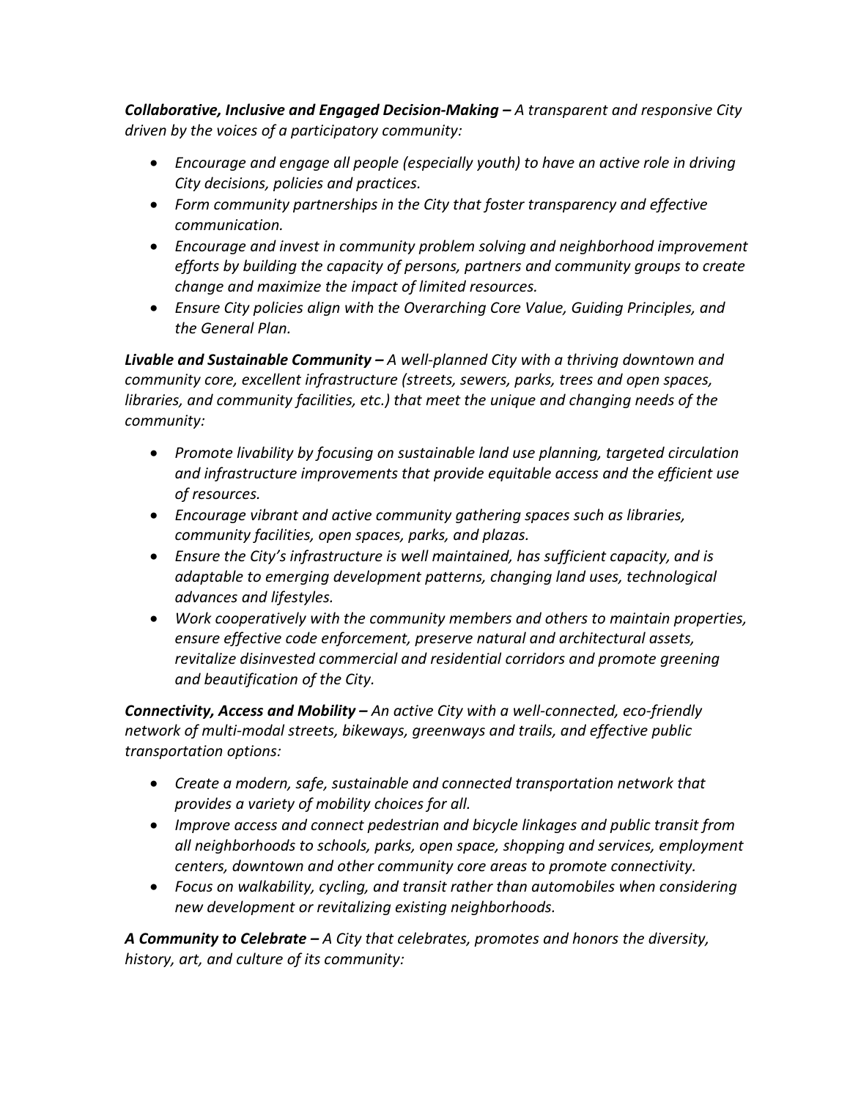*Collaborative, Inclusive and Engaged Decision-Making – A transparent and responsive City driven by the voices of a participatory community:*

- *Encourage and engage all people (especially youth) to have an active role in driving City decisions, policies and practices.*
- *Form community partnerships in the City that foster transparency and effective communication.*
- *Encourage and invest in community problem solving and neighborhood improvement efforts by building the capacity of persons, partners and community groups to create change and maximize the impact of limited resources.*
- *Ensure City policies align with the Overarching Core Value, Guiding Principles, and the General Plan.*

*Livable and Sustainable Community – A well-planned City with a thriving downtown and community core, excellent infrastructure (streets, sewers, parks, trees and open spaces, libraries, and community facilities, etc.) that meet the unique and changing needs of the community:*

- *Promote livability by focusing on sustainable land use planning, targeted circulation and infrastructure improvements that provide equitable access and the efficient use of resources.*
- *Encourage vibrant and active community gathering spaces such as libraries, community facilities, open spaces, parks, and plazas.*
- *Ensure the City's infrastructure is well maintained, has sufficient capacity, and is adaptable to emerging development patterns, changing land uses, technological advances and lifestyles.*
- *Work cooperatively with the community members and others to maintain properties, ensure effective code enforcement, preserve natural and architectural assets, revitalize disinvested commercial and residential corridors and promote greening and beautification of the City.*

*Connectivity, Access and Mobility – An active City with a well-connected, eco-friendly network of multi-modal streets, bikeways, greenways and trails, and effective public transportation options:*

- *Create a modern, safe, sustainable and connected transportation network that provides a variety of mobility choices for all.*
- *Improve access and connect pedestrian and bicycle linkages and public transit from all neighborhoods to schools, parks, open space, shopping and services, employment centers, downtown and other community core areas to promote connectivity.*
- *Focus on walkability, cycling, and transit rather than automobiles when considering new development or revitalizing existing neighborhoods.*

*A Community to Celebrate – A City that celebrates, promotes and honors the diversity, history, art, and culture of its community:*